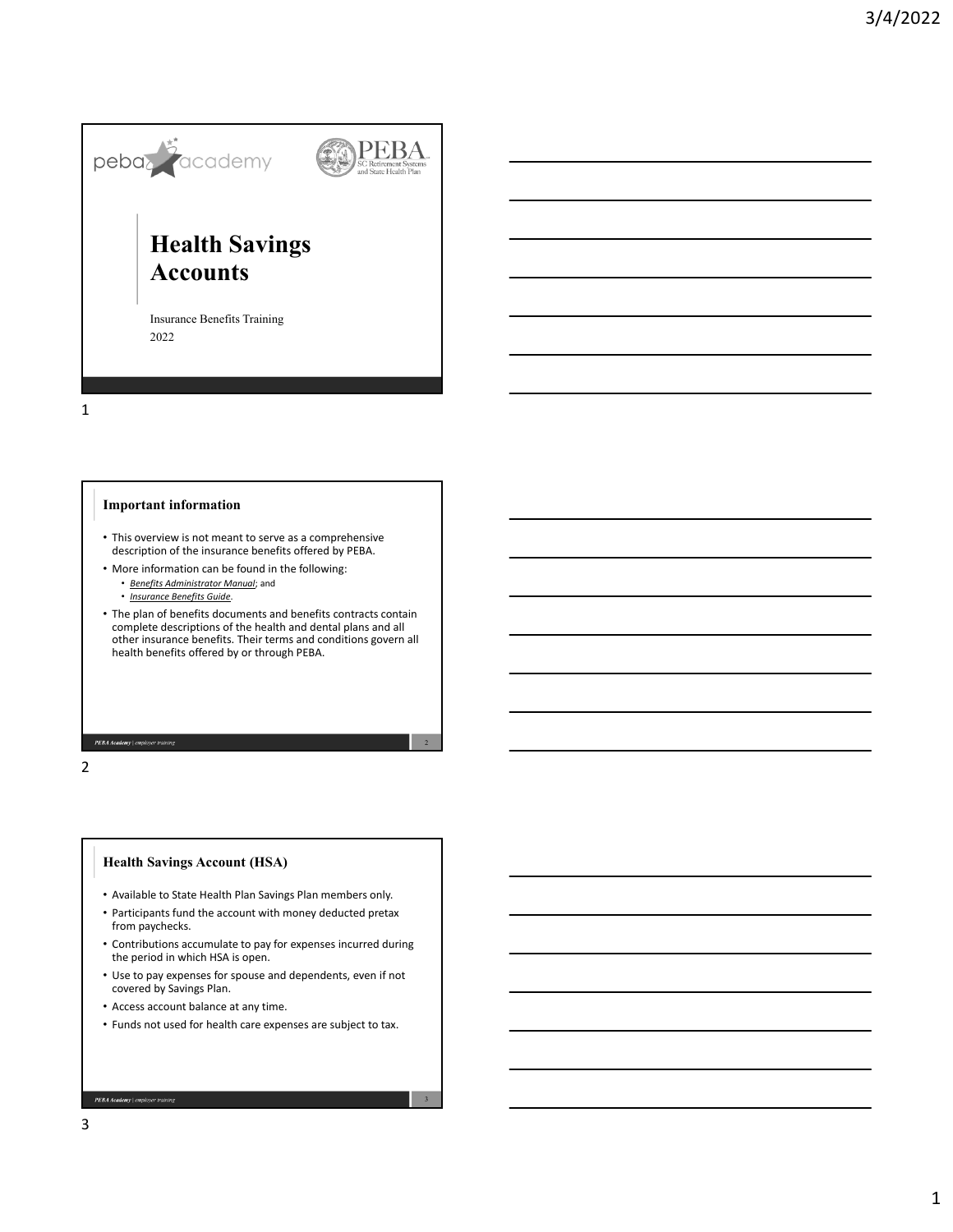

1

### **Important information**

- This overview is not meant to serve as a comprehensive description of the insurance benefits offered by PEBA.
- More information can be found in the following:
	- *Benefits Administrator Manual*; and
	- *Insurance Benefits Guide*.
- The plan of benefits documents and benefits contracts contain complete descriptions of the health and dental plans and all other insurance benefits. Their terms and conditions govern all health benefits offered by or through PEBA.

PEBA Academy | em

2

## **Health Savings Account (HSA)**

- Available to State Health Plan Savings Plan members only.
- Participants fund the account with money deducted pretax from paychecks.
- Contributions accumulate to pay for expenses incurred during the period in which HSA is open.
- Use to pay expenses for spouse and dependents, even if not covered by Savings Plan.
- Access account balance at any time.
- Funds not used for health care expenses are subject to tax.

3

PEBA Academy | employer tr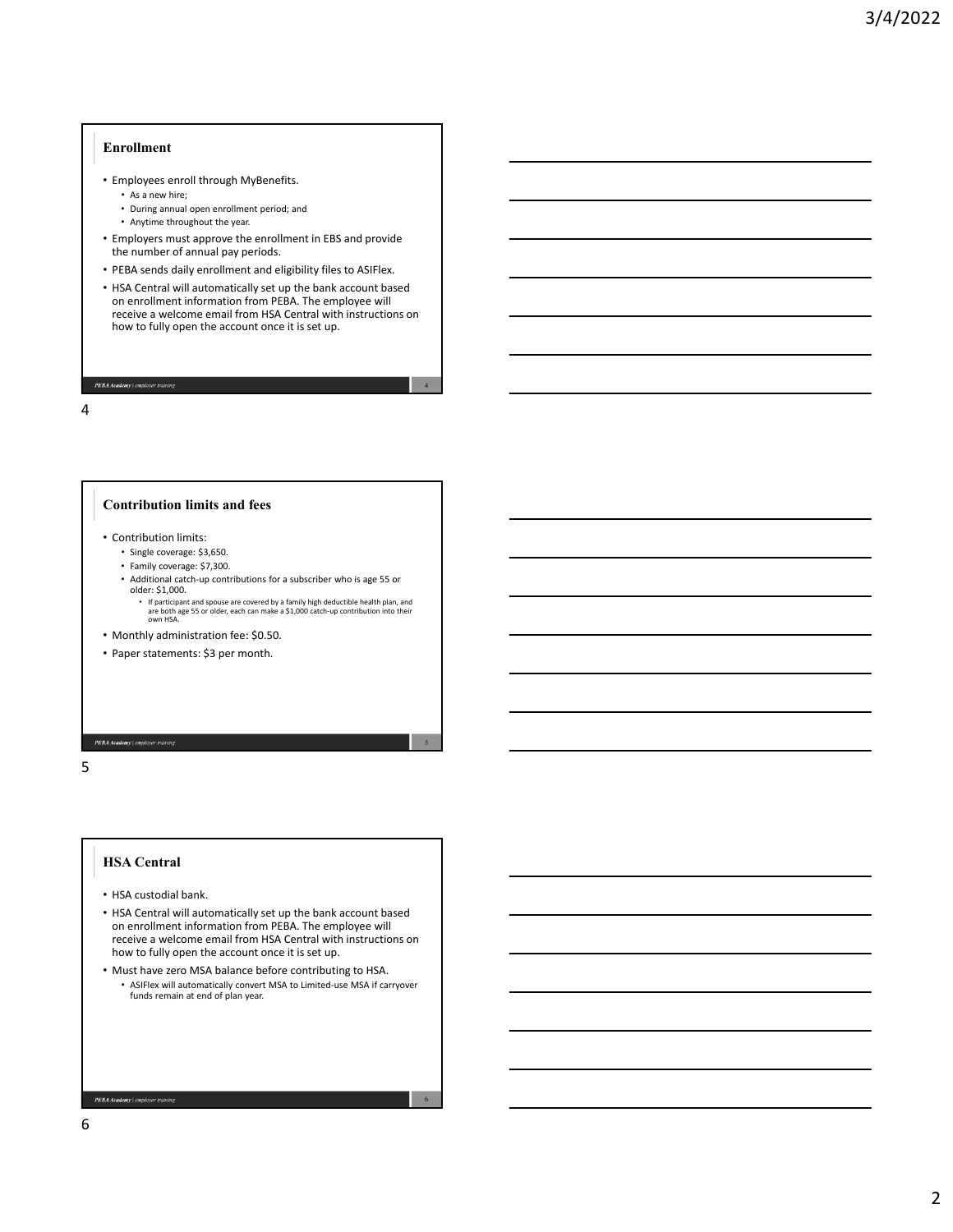### **Enrollment**

- Employees enroll through MyBenefits.
	- As a new hire;
	- During annual open enrollment period; and
	- Anytime throughout the year.
- Employers must approve the enrollment in EBS and provide the number of annual pay periods.
- PEBA sends daily enrollment and eligibility files to ASIFlex.
- HSA Central will automatically set up the bank account based on enrollment information from PEBA. The employee will receive a welcome email from HSA Central with instructions on how to fully open the account once it is set up.

4

5

6

#### PEBA Academy | employer

4

#### **Contribution limits and fees**

- Contribution limits:
	- Single coverage: \$3,650.
	- Family coverage: \$7,300.
	- Additional catch‐up contributions for a subscriber who is age 55 or older: \$1,000.
		- If participant and spouse are covered by a family high deductible health plan, and are both age 55 or older, each can make a \$1,000 catch‐up contribution into their own HSA.
- Monthly administration fee: \$0.50.
- Paper statements: \$3 per month.

PEBA Academy | emple

# 5

## **HSA Central**

- HSA custodial bank.
- HSA Central will automatically set up the bank account based on enrollment information from PEBA. The employee will receive a welcome email from HSA Central with instructions on how to fully open the account once it is set up.
- Must have zero MSA balance before contributing to HSA. • ASIFlex will automatically convert MSA to Limited‐use MSA if carryover funds remain at end of plan year.

 $\boldsymbol{PEBA \textcolor{black}{A} cademy} \mid employer \; training$